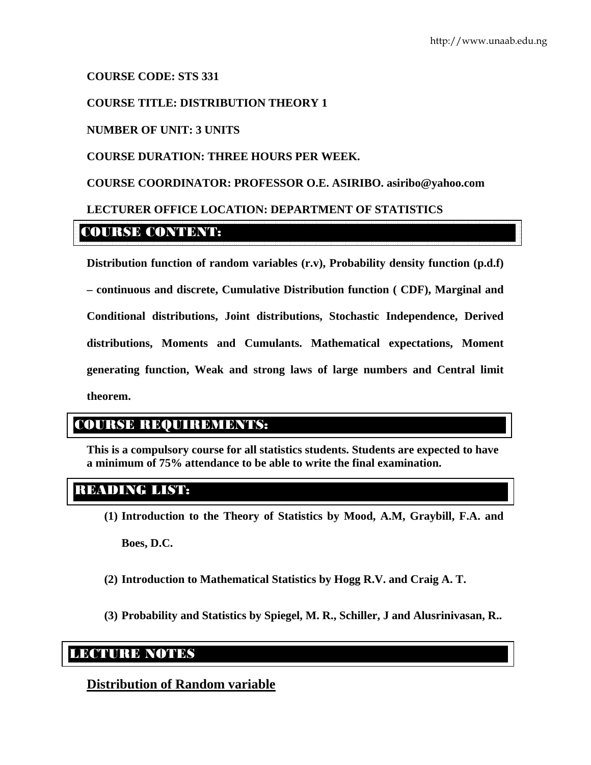## **COURSE CODE: STS 331**

## **COURSE TITLE: DISTRIBUTION THEORY 1**

#### **NUMBER OF UNIT: 3 UNITS**

#### **COURSE DURATION: THREE HOURS PER WEEK.**

#### **COURSE COORDINATOR: PROFESSOR O.E. ASIRIBO. asiribo@yahoo.com**

## **LECTURER OFFICE LOCATION: DEPARTMENT OF STATISTICS**

# COURSE CONTENT:

**Distribution function of random variables (r.v), Probability density function (p.d.f) – continuous and discrete, Cumulative Distribution function ( CDF), Marginal and Conditional distributions, Joint distributions, Stochastic Independence, Derived distributions, Moments and Cumulants. Mathematical expectations, Moment generating function, Weak and strong laws of large numbers and Central limit theorem.** 

# COURSE REQUIREMENTS:

**This is a compulsory course for all statistics students. Students are expected to have a minimum of 75% attendance to be able to write the final examination.** 

# READING LIST:

**(1) Introduction to the Theory of Statistics by Mood, A.M, Graybill, F.A. and** 

**Boes, D.C.** 

- **(2) Introduction to Mathematical Statistics by Hogg R.V. and Craig A. T.**
- **(3) Probability and Statistics by Spiegel, M. R., Schiller, J and Alusrinivasan, R..**

# LEXURED NOTES

# **Distribution of Random variable**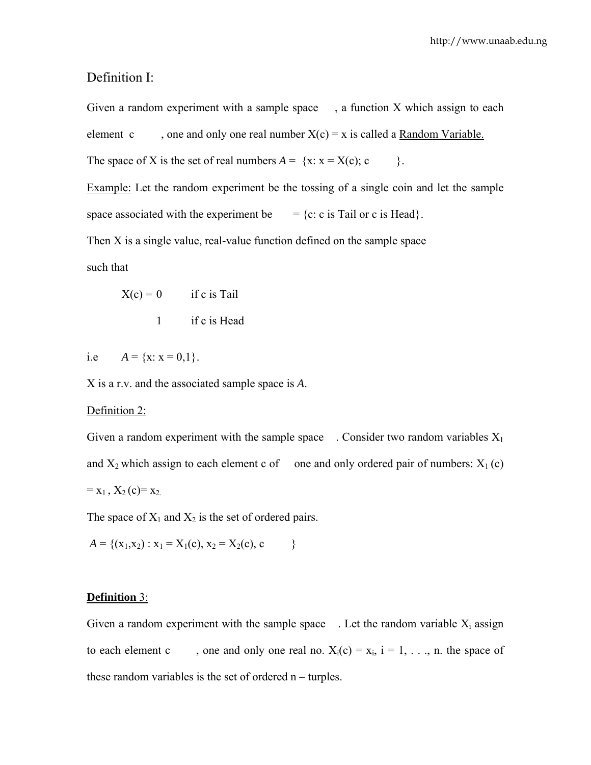## Definition I:

Given a random experiment with a sample space  $\alpha$ , a function X which assign to each element c , one and only one real number  $X(c) = x$  is called a Random Variable. The space of X is the set of real numbers  $A = \{x: x = X(c); c \}$ . Example: Let the random experiment be the tossing of a single coin and let the sample space associated with the experiment be  $= \{c: c \text{ is Tail or } c \text{ is Head}\}.$ 

Then X is a single value, real-value function defined on the sample space

such that

$$
X(c) = 0 \t\t if c is Tail
$$

1 if c is Head

i.e  $A = \{x: x = 0,1\}.$ 

X is a r.v. and the associated sample space is *A*.

#### Definition 2:

Given a random experiment with the sample space . Consider two random variables  $X_1$ and  $X_2$  which assign to each element c of one and only ordered pair of numbers:  $X_1(c)$  $= x_1, X_2(c) = x_2.$ 

The space of  $X_1$  and  $X_2$  is the set of ordered pairs.

$$
A = \{ (x_1, x_2) : x_1 = X_1(c), x_2 = X_2(c), c \}
$$

#### **Definition** 3:

Given a random experiment with the sample space . Let the random variable  $X_i$  assign to each element c , one and only one real no.  $X_i(c) = x_i$ ,  $i = 1, \ldots, n$ . the space of these random variables is the set of ordered n – turples.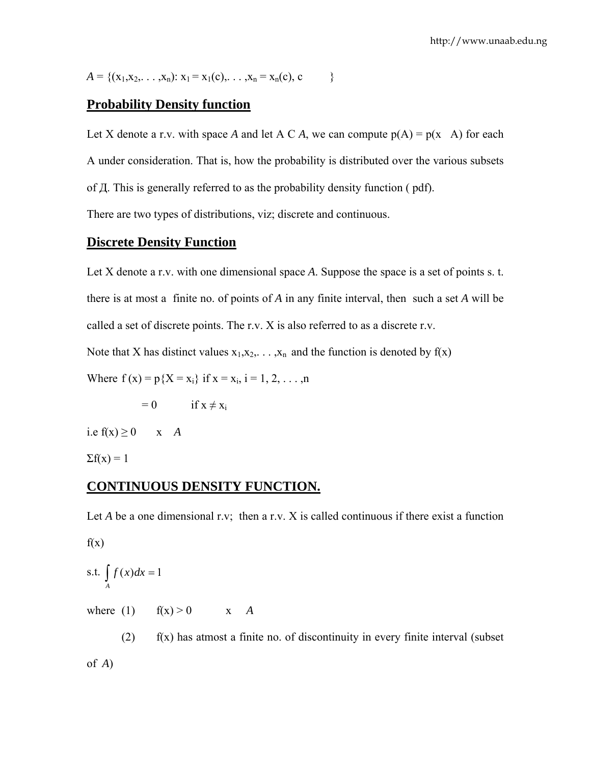$$
A = \{ (x_1, x_2, \ldots, x_n) : x_1 = x_1(c), \ldots, x_n = x_n(c), c \}
$$

# **Probability Density function**

Let X denote a r.v. with space A and let A C A, we can compute  $p(A) = p(x \mid A)$  for each A under consideration. That is, how the probability is distributed over the various subsets of Д. This is generally referred to as the probability density function ( pdf).

There are two types of distributions, viz; discrete and continuous.

### **Discrete Density Function**

Let X denote a r.v. with one dimensional space A. Suppose the space is a set of points s. t. there is at most a finite no. of points of *A* in any finite interval, then such a set *A* will be called a set of discrete points. The r.v. X is also referred to as a discrete r.v.

Note that X has distinct values  $x_1, x_2, \ldots, x_n$  and the function is denoted by  $f(x)$ 

Where  $f(x) = p\{X = x_i\}$  if  $x = x_i$ ,  $i = 1, 2, ..., n$ 

 $= 0$  if  $x \neq x_i$ 

i.e  $f(x) \ge 0$  x *A* 

 $\Sigma f(x) = 1$ 

## **CONTINUOUS DENSITY FUNCTION.**

Let *A* be a one dimensional r.v; then a r.v. *X* is called continuous if there exist a function  $f(x)$ 

s.t. 
$$
\int_{A} f(x)dx = 1
$$
  
where (1)  $f(x) > 0$  x A

 $f(x)$  f(x) has atmost a finite no. of discontinuity in every finite interval (subset of *A*)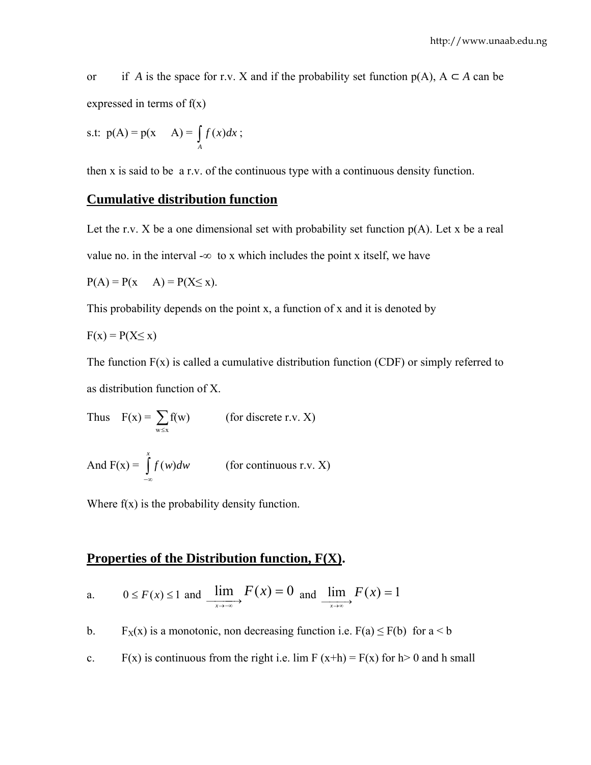or if *A* is the space for r.v. X and if the probability set function  $p(A)$ ,  $A \subset A$  can be expressed in terms of  $f(x)$ 

$$
s.t. \ p(A) = p(x \quad A) = \int_A f(x) dx ;
$$

then x is said to be a r.v. of the continuous type with a continuous density function.

# **Cumulative distribution function**

Let the r.v. X be a one dimensional set with probability set function  $p(A)$ . Let x be a real value no. in the interval - $\infty$  to x which includes the point x itself, we have

$$
\mathcal{L}_{\mathcal{A}}(x,y) = \mathcal{L}_{\mathcal{A}}(x,y)
$$

$$
P(A) = P(x \quad A) = P(X \le x).
$$

This probability depends on the point x, a function of x and it is denoted by

$$
F(x) = P(X \leq x)
$$

The function  $F(x)$  is called a cumulative distribution function (CDF) or simply referred to as distribution function of X.

Thus 
$$
F(x) = \sum_{w \le x} f(w)
$$
 (for discrete r.v. X)  
And  $F(x) = \int_{-\infty}^{x} f(w)dw$  (for continuous r.v. X)

Where  $f(x)$  is the probability density function.

## **Properties of the Distribution function, F(X).**

a. 
$$
0 \le F(x) \le 1
$$
 and  $\underline{\lim}_{x \to \infty} F(x) = 0$  and  $\underline{\lim}_{x \to \infty} F(x) = 1$ 

b. F<sub>X</sub>(x) is a monotonic, non decreasing function i.e. F(a)  $\leq$  F(b) for a  $\leq$  b

c. F(x) is continuous from the right i.e. lim F (x+h) = F(x) for h > 0 and h small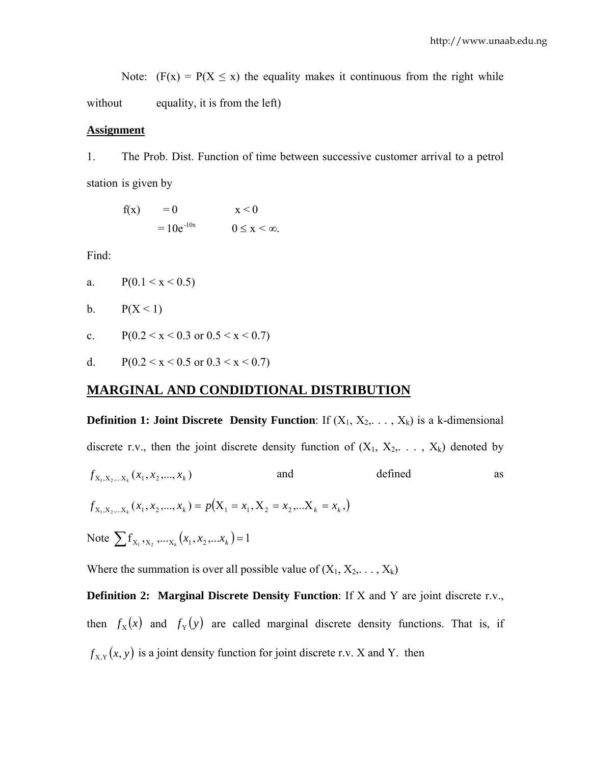Note:  $(F(x) = P(X \le x)$  the equality makes it continuous from the right while without equality, it is from the left)

#### **Assignment**

1. The Prob. Dist. Function of time between successive customer arrival to a petrol station is given by

| f(x) | $= 0$         | $x \leq 0$               |
|------|---------------|--------------------------|
|      | $=10e^{-10x}$ | $0 \leq x \leq \infty$ . |

Find:

a. 
$$
P(0.1 < x < 0.5)
$$

$$
b. \qquad P(X < 1)
$$

- c.  $P(0.2 \le x \le 0.3 \text{ or } 0.5 \le x \le 0.7)$
- d.  $P(0.2 \le x \le 0.5 \text{ or } 0.3 \le x \le 0.7)$

#### **MARGINAL AND CONDIDTIONAL DISTRIBUTION**

**Definition 1: Joint Discrete Density Function**: If  $(X_1, X_2, \ldots, X_k)$  is a k-dimensional discrete r.v., then the joint discrete density function of  $(X_1, X_2, \ldots, X_k)$  denoted by  $f_{X_1, X_2, \dots, X_k}(x_1, x_2, ..., x_k)$  and defined as  $f_{X_1, X_2, \dots, X_k}(x_1, x_2, \dots, x_k) = p(X_1 = x_1, X_2 = x_2, \dots, X_k = x_k)$ Note  $\sum f_{X_1, X_2, \dots, X_k}(x_1, x_2, \dots, x_k) = 1$ 

Where the summation is over all possible value of  $(X_1, X_2, \ldots, X_k)$ 

**Definition 2: Marginal Discrete Density Function**: If X and Y are joint discrete r.v., then  $f_X(x)$  and  $f_Y(y)$  are called marginal discrete density functions. That is, if  $f_{X,Y}(x, y)$  is a joint density function for joint discrete r.v. X and Y. then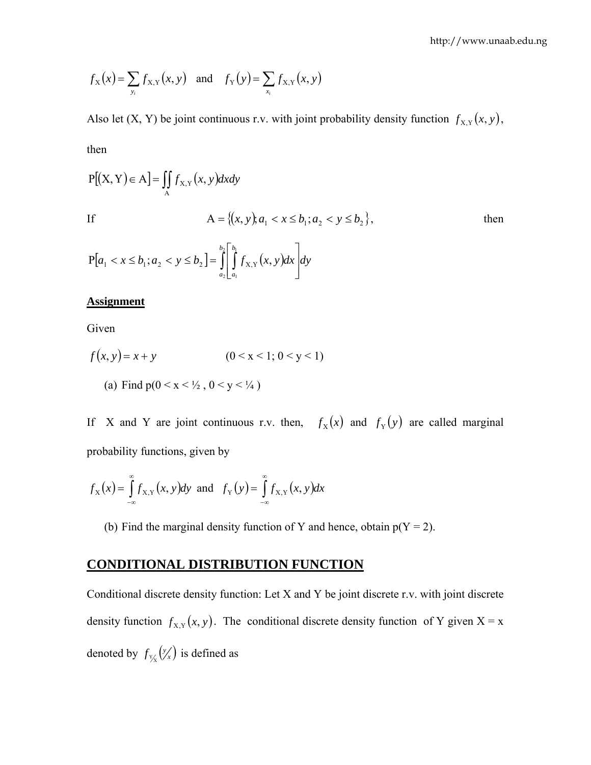$$
f_X(x) = \sum_{y_i} f_{X,Y}(x, y)
$$
 and  $f_Y(y) = \sum_{x_i} f_{X,Y}(x, y)$ 

Also let (X, Y) be joint continuous r.v. with joint probability density function  $f_{X,Y}(x, y)$ , then

$$
P[(X, Y) \in A] = \iint_{A} f_{X,Y}(x, y) dx dy
$$
  
If  

$$
A = \{(x, y), a_1 < x \le b_1; a_2 < y \le b_2\},
$$
 then  

$$
b_1 \begin{bmatrix} b_1 & 1 \end{bmatrix}
$$

$$
P[a_1 < x \le b_1; a_2 < y \le b_2] = \int_{a_2}^{b_2} \left[ \int_{a_1}^{b_1} f_{X,Y}(x, y) dx \right] dy
$$

#### **Assignment**

Given

$$
f(x, y) = x + y \qquad (0 < x < 1; 0 < y < 1)
$$

(a) Find  $p(0 < x < \frac{1}{2}, 0 < y < \frac{1}{4})$ 

If X and Y are joint continuous r.v. then,  $f_x(x)$  and  $f_y(y)$  are called marginal probability functions, given by

$$
f_{\mathbf{x}}(x) = \int_{-\infty}^{\infty} f_{\mathbf{x},\mathbf{y}}(x,\mathbf{y}) d\mathbf{y} \text{ and } f_{\mathbf{y}}(y) = \int_{-\infty}^{\infty} f_{\mathbf{x},\mathbf{y}}(x,\mathbf{y}) dx
$$

(b) Find the marginal density function of Y and hence, obtain  $p(Y = 2)$ .

# **CONDITIONAL DISTRIBUTION FUNCTION**

Conditional discrete density function: Let X and Y be joint discrete r.v. with joint discrete density function  $f_{X,Y}(x, y)$ . The conditional discrete density function of Y given  $X = x$ denoted by  $f_{\frac{y}{x}}(\frac{y}{x})$  is defined as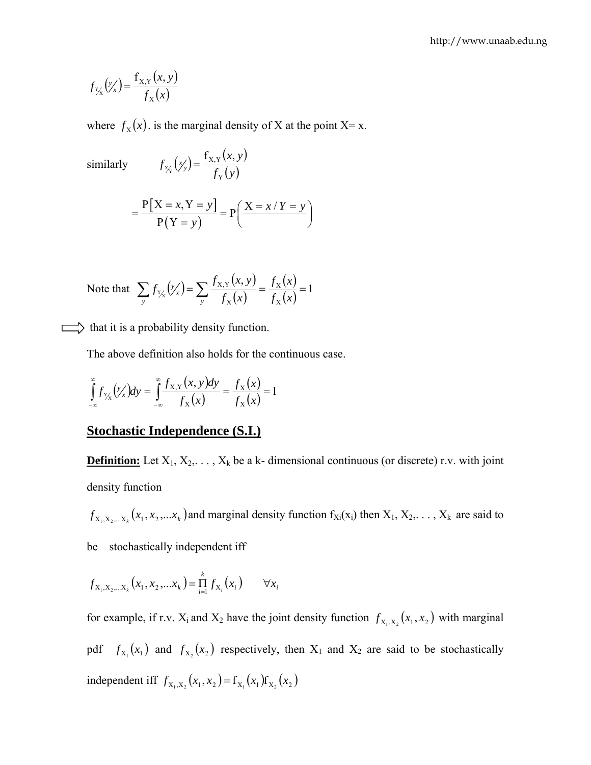$$
f_{\gamma_X}'(\gamma_X') = \frac{f_{X,Y}(x, y)}{f_X(x)}
$$

where  $f_X(x)$  is the marginal density of X at the point X= x.

similarly  $f_{x}(\gamma) = \frac{f_{x,y}(x, y)}{f_{x}(x, y)}$  $f_{\frac{x}{y}}(x) = \frac{f_{x,y}(x, y)}{f_{y}(y)}$  $f_{X_Y}(x_Y) = \frac{f_{X,Y}(x, y)}{f_Y(y)}$  $X = x, Y = y$  $(Y = y)$  $x, Y = y$   $\bigg|$   $\bigg|$   $\bigg|$   $\bigg|$   $X = x / Y = y$  $=\frac{P[X=x,Y=y]}{P(Y=y)}=P\left(\frac{X=x/Y=y}{P(Y=y)}\right)$ 

Note that 
$$
\sum_{y} f_{y_x}(y_x') = \sum_{y} \frac{f_{x,y}(x, y)}{f_x(x)} = \frac{f_x(x)}{f_x(x)} = 1
$$

 $\implies$  that it is a probability density function.

The above definition also holds for the continuous case.

$$
\int_{-\infty}^{\infty} f_{Y_{\chi}}(y_{x}') dy = \int_{-\infty}^{\infty} \frac{f_{X,Y}(x, y) dy}{f_{X}(x)} = \frac{f_{X}(x)}{f_{X}(x)} = 1
$$

#### **Stochastic Independence (S.I.)**

**Definition:** Let  $X_1, X_2, \ldots, X_k$  be a k- dimensional continuous (or discrete) r.v. with joint density function

 $f_{X_1, X_2, \dots, X_k}(x_1, x_2, \dots, x_k)$  and marginal density function  $f_{X_i}(x_i)$  then  $X_1, X_2, \dots, X_k$  are said to be stochastically independent iff

$$
f_{X_1, X_2, \dots X_k}(x_1, x_2, \dots x_k) = \prod_{i=1}^k f_{X_i}(x_i) \qquad \forall x_i
$$

for example, if r.v.  $X_i$  and  $X_2$  have the joint density function  $f_{X_1,X_2}(x_1, x_2)$  with marginal pdf  $f_{X_1}(x_1)$  and  $f_{X_2}(x_2)$  respectively, then  $X_1$  and  $X_2$  are said to be stochastically independent iff  $f_{X_1, X_2}(x_1, x_2) = f_{X_1}(x_1) f_{X_2}(x_2)$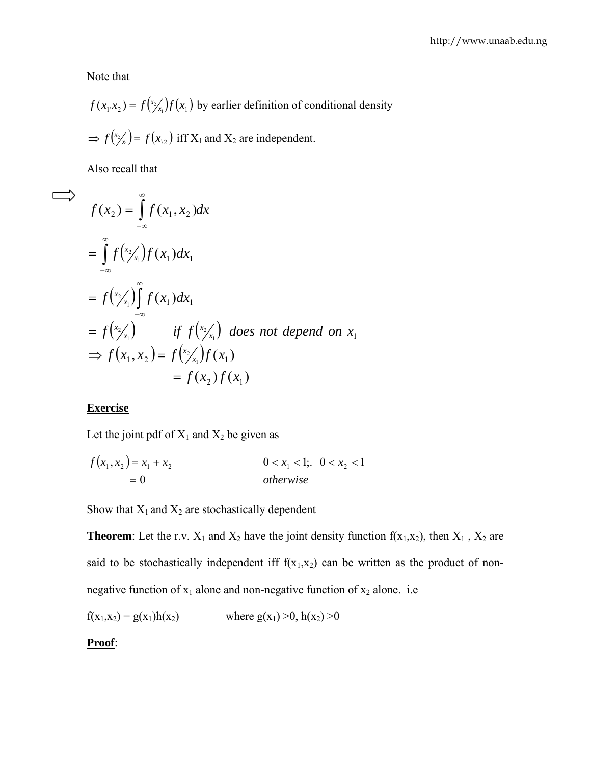Note that

$$
f(x_1 \cdot x_2) = f\left(\frac{x_2}{x_1}\right) f\left(x_1\right)
$$
 by earlier definition of conditional density  
\n
$$
\Rightarrow f\left(\frac{x_2}{x_1}\right) = f\left(x_2\right)
$$
 iff  $X_1$  and  $X_2$  are independent.

Also recall that

$$
f(x_2) = \int_{-\infty}^{\infty} f(x_1, x_2) dx
$$
  
\n
$$
= \int_{-\infty}^{\infty} f(x_2/x_1) f(x_1) dx_1
$$
  
\n
$$
= f(x_2/x_1) \int_{-\infty}^{\infty} f(x_1) dx_1
$$
  
\n
$$
= f(x_2/x_1) \qquad \text{if } f(x_2/x_1) \text{ does not depend on } x_1
$$
  
\n
$$
\Rightarrow f(x_1, x_2) = f(x_2/x_1) f(x_1)
$$
  
\n
$$
= f(x_2) f(x_1)
$$

#### **Exercise**

Let the joint pdf of  $X_1$  and  $X_2$  be given as

$$
f(x_1, x_2) = x_1 + x_2
$$
  
= 0  
otherwise  
 $0 < x_1 < 1$ ;  $0 < x_2 < 1$ 

Show that  $X_1$  and  $X_2$  are stochastically dependent

**Theorem**: Let the r.v.  $X_1$  and  $X_2$  have the joint density function  $f(x_1,x_2)$ , then  $X_1$ ,  $X_2$  are said to be stochastically independent iff  $f(x_1,x_2)$  can be written as the product of nonnegative function of  $x_1$  alone and non-negative function of  $x_2$  alone. i.e

$$
f(x_1,x_2) = g(x_1)h(x_2)
$$
 where  $g(x_1) > 0$ ,  $h(x_2) > 0$ 

**Proof**: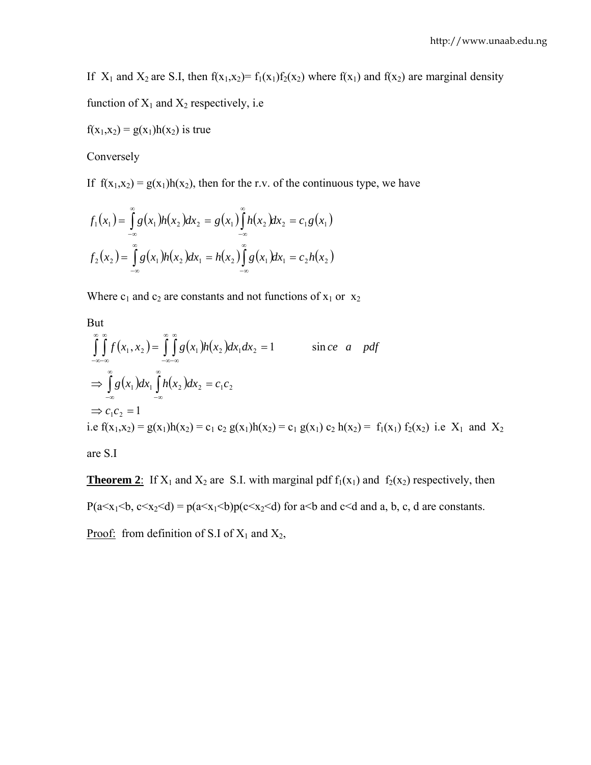If  $X_1$  and  $X_2$  are S.I, then  $f(x_1,x_2)= f_1(x_1)f_2(x_2)$  where  $f(x_1)$  and  $f(x_2)$  are marginal density

function of  $X_1$  and  $X_2$  respectively, i.e

 $f(x_1,x_2) = g(x_1)h(x_2)$  is true

Conversely

If  $f(x_1,x_2) = g(x_1)h(x_2)$ , then for the r.v. of the continuous type, we have

$$
f_1(x_1) = \int_{-\infty}^{\infty} g(x_1)h(x_2)dx_2 = g(x_1)\int_{-\infty}^{\infty} h(x_2)dx_2 = c_1g(x_1)
$$
  

$$
f_2(x_2) = \int_{-\infty}^{\infty} g(x_1)h(x_2)dx_1 = h(x_2)\int_{-\infty}^{\infty} g(x_1)dx_1 = c_2h(x_2)
$$

Where  $c_1$  and  $c_2$  are constants and not functions of  $x_1$  or  $x_2$ 

But  
\n
$$
\int_{-\infty-\infty}^{\infty} \int_{-\infty}^{\infty} f(x_1, x_2) dx = \int_{-\infty-\infty}^{\infty} \int_{-\infty}^{\infty} g(x_1)h(x_2) dx_1 dx_2 = 1
$$
 since *a* pdf  
\n
$$
\Rightarrow \int_{-\infty}^{\infty} g(x_1) dx_1 \int_{-\infty}^{\infty} h(x_2) dx_2 = c_1 c_2
$$
  
\n
$$
\Rightarrow c_1 c_2 = 1
$$
  
\ni.e  $f(x_1, x_2) = g(x_1)h(x_2) = c_1 c_2 g(x_1)h(x_2) = c_1 g(x_1) c_2 h(x_2) = f_1(x_1) f_2(x_2)$  i.e  $X_1$  and  $X_2$ 

are S.I

**Theorem 2**: If  $X_1$  and  $X_2$  are S.I. with marginal pdf  $f_1(x_1)$  and  $f_2(x_2)$  respectively, then  $P(a \le x_1 \le b, c \le x_2 \le d) = p(a \le x_1 \le b)p(c \le x_2 \le d)$  for a solution and a, b, c, d are constants. <u>Proof:</u> from definition of S.I of  $X_1$  and  $X_2$ ,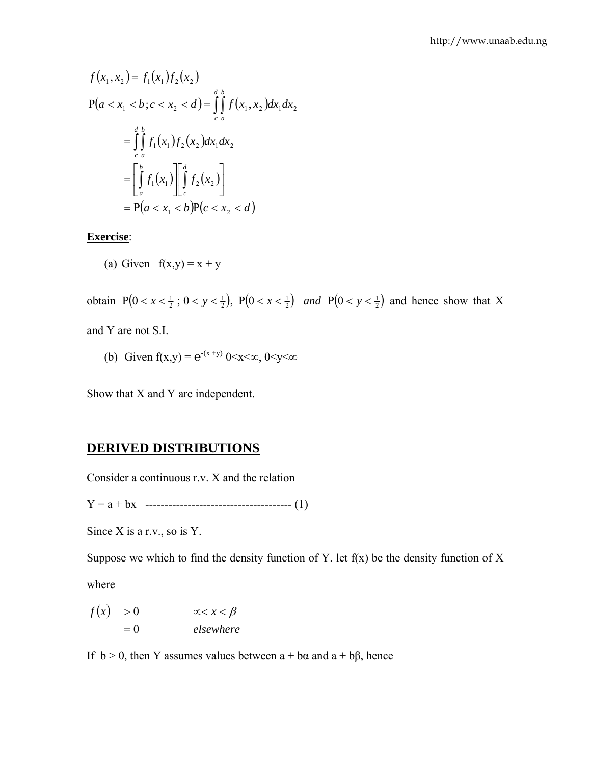$$
f(x_1, x_2) = f_1(x_1) f_2(x_2)
$$
  
\n
$$
P(a < x_1 < b; c < x_2 < d) = \int_{c}^{d} \int_{a}^{b} f(x_1, x_2) dx_1 dx_2
$$
  
\n
$$
= \int_{c}^{d} \int_{a}^{b} f_1(x_1) f_2(x_2) dx_1 dx_2
$$
  
\n
$$
= \left[ \int_{a}^{b} f_1(x_1) \right]_{c}^{d} f_2(x_2)
$$
  
\n
$$
= P(a < x_1 < b) P(c < x_2 < d)
$$

**Exercise**:

(a) Given 
$$
f(x,y) = x + y
$$

obtain  $P( 0 < x < \frac{1}{2}$ ;  $0 < y < \frac{1}{2}$ ),  $P( 0 < x < \frac{1}{2} )$  and  $P( 0 < y < \frac{1}{2} )$  and hence show that X and Y are not S.I.

(b) Given  $f(x,y) = e^{-(x+y)} 0 \le x \le \infty$ ,  $0 \le y \le \infty$ 

Show that X and Y are independent.

# **DERIVED DISTRIBUTIONS**

Consider a continuous r.v. X and the relation

Y = a + bx -------------------------------------- (1)

Since X is a r.v., so is Y.

Suppose we which to find the density function of Y. let  $f(x)$  be the density function of X

where

$$
f(x) > 0 \qquad \alpha < x < \beta
$$
  
= 0 \qquad elsewhere

If  $b > 0$ , then Y assumes values between  $a + b\alpha$  and  $a + b\beta$ , hence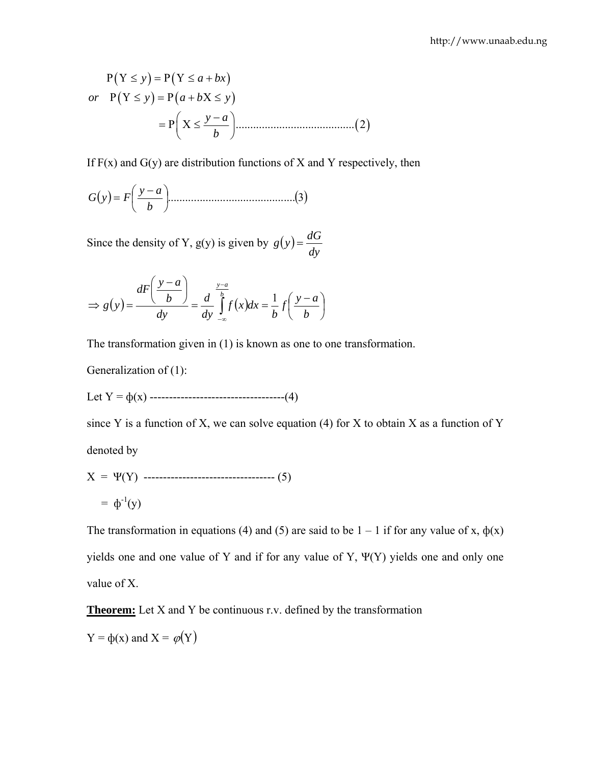( )( ) ( )( ) ......................................... 2( ) *y a bx or y a b y y a b* Ρ Υ≤ =Ρ Υ≤ + Ρ Υ≤ =Ρ + Χ≤ ⎛ ⎞ <sup>−</sup> =Ρ Χ≤ ⎜ ⎟ ⎝ ⎠

If  $F(x)$  and  $G(y)$  are distribution functions of X and Y respectively, then

$$
G(y) = F\left(\frac{y-a}{b}\right) \tag{3}
$$

Since the density of Y,  $g(y)$  is given by  $g(y) = \frac{dG}{dy}$ 

$$
\Rightarrow g(y) = \frac{dF\left(\frac{y-a}{b}\right)}{dy} = \frac{d}{dy}\int_{-\infty}^{\frac{y-a}{b}} f(x)dx = \frac{1}{b}f\left(\frac{y-a}{b}\right)
$$

The transformation given in (1) is known as one to one transformation.

Generalization of (1):

Let Y = ф(x) -----------------------------------(4)

since Y is a function of X, we can solve equation (4) for X to obtain X as a function of Y denoted by

X = Ψ(Y) ---------------------------------- (5) = ф-1(y)

The transformation in equations (4) and (5) are said to be  $1 - 1$  if for any value of x,  $\phi(x)$ yields one and one value of Y and if for any value of Y, Ψ(Y) yields one and only one value of X.

**Theorem:** Let X and Y be continuous r.v. defined by the transformation

 $Y = \phi(x)$  and  $X = \phi(Y)$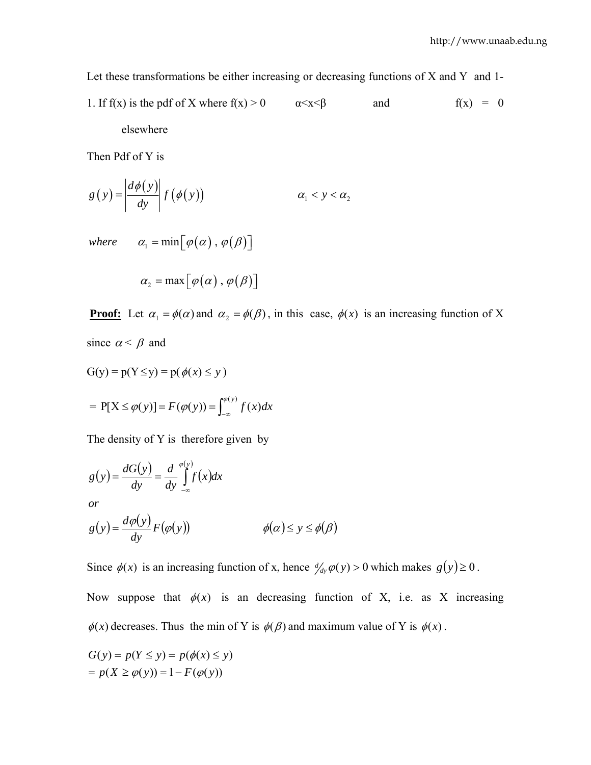Let these transformations be either increasing or decreasing functions of X and Y and 1-

1. If f(x) is the pdf of X where 
$$
f(x) > 0
$$
  $\alpha < x < \beta$  and  $f(x) = 0$   
elsewhere

Then Pdf of Y is

$$
g(y) = \left| \frac{d\phi(y)}{dy} \right| f(\phi(y)) \qquad \alpha_1 < y < \alpha_2
$$

where  $\alpha_1 = \min \lfloor \varphi(\alpha) \cdot \varphi(\beta) \rfloor$ 

$$
\alpha_{2} = \max[\varphi(\alpha), \varphi(\beta)]
$$

**Proof:** Let  $\alpha_1 = \phi(\alpha)$  and  $\alpha_2 = \phi(\beta)$ , in this case,  $\phi(x)$  is an increasing function of X since  $\alpha < \beta$  and

$$
G(y) = p(Y \le y) = p(\phi(x) \le y)
$$
  
=  $P[X \le \phi(y)] = F(\phi(y)) = \int_{-\infty}^{\phi(y)} f(x) dx$ 

The density of Y is therefore given by

$$
g(y) = \frac{dG(y)}{dy} = \frac{d}{dy} \int_{-\infty}^{\varphi(y)} f(x) dx
$$
  
or  

$$
g(y) = \frac{d\varphi(y)}{dy} F(\varphi(y)) \qquad \varphi(\alpha) \le y \le \varphi(\beta)
$$

Since  $\phi(x)$  is an increasing function of x, hence  $\phi'_{dy} \phi(y) > 0$  which makes  $g(y) \ge 0$ .

Now suppose that  $\phi(x)$  is an decreasing function of X, i.e. as X increasing  $\phi(x)$  decreases. Thus the min of Y is  $\phi(\beta)$  and maximum value of Y is  $\phi(x)$ .

$$
G(y) = p(Y \le y) = p(\phi(x) \le y)
$$
  
=  $p(X \ge \phi(y)) = 1 - F(\phi(y))$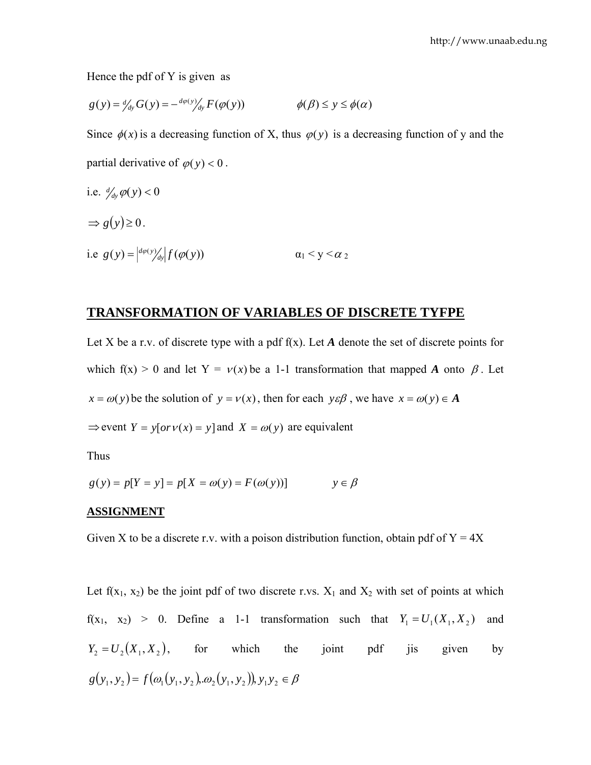Hence the pdf of Y is given as

$$
g(y) = \frac{d}{dy} G(y) = -\frac{d\varphi(y)}{dy} F(\varphi(y)) \qquad \varphi(\beta) \le y \le \varphi(\alpha)
$$

Since  $\phi(x)$  is a decreasing function of X, thus  $\phi(y)$  is a decreasing function of y and the partial derivative of  $\varphi(y) < 0$ .

i.e. 
$$
d_{dy} \varphi(y) < 0
$$
  
\n $\Rightarrow g(y) \ge 0$ .  
\ni.e.  $g(y) = |_{d\varphi(y)/dy} | f(\varphi(y))$   
\n $\alpha_1 < y < \alpha_2$ 

#### **TRANSFORMATION OF VARIABLES OF DISCRETE TYFPE**

Let X be a r.v. of discrete type with a pdf  $f(x)$ . Let A denote the set of discrete points for which f(x) > 0 and let Y =  $v(x)$  be a 1-1 transformation that mapped *A* onto  $\beta$ . Let  $x = \omega(y)$  be the solution of  $y = v(x)$ , then for each  $y \in \beta$ , we have  $x = \omega(y) \in A$  $\Rightarrow$  event  $Y = y[or v(x) = y]$  and  $X = \omega(y)$  are equivalent

Thus

$$
g(y) = p[Y = y] = p[X = \omega(y) = F(\omega(y))]
$$
  $y \in \beta$ 

#### **ASSIGNMENT**

Given X to be a discrete r.v. with a poison distribution function, obtain pdf of  $Y = 4X$ 

Let  $f(x_1, x_2)$  be the joint pdf of two discrete r.vs.  $X_1$  and  $X_2$  with set of points at which  $f(x_1, x_2) > 0$ . Define a 1-1 transformation such that  $Y_1 = U_1(X_1, X_2)$  and  $(Y_2 = U_2(X_1, X_2))$ , for which the joint pdf jis given by  $g(y_1, y_2) = f(\omega_1(y_1, y_2), \omega_2(y_1, y_2))$ ,  $y_1 y_2 \in \beta$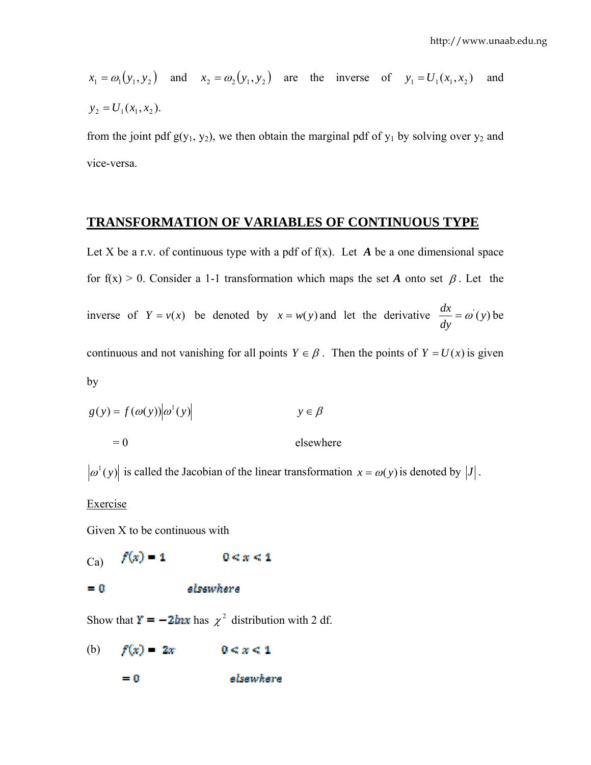$$
x_1 = \omega_1(y_1, y_2)
$$
 and  $x_2 = \omega_2(y_1, y_2)$  are the inverse of  $y_1 = U_1(x_1, x_2)$  and  $y_2 = U_1(x_1, x_2)$ .

from the joint pdf  $g(y_1, y_2)$ , we then obtain the marginal pdf of  $y_1$  by solving over  $y_2$  and vice-versa.

#### **TRANSFORMATION OF VARIABLES OF CONTINUOUS TYPE**

Let X be a r.v. of continuous type with a pdf of  $f(x)$ . Let A be a one dimensional space for f(x) > 0. Consider a 1-1 transformation which maps the set *A* onto set  $\beta$ . Let the inverse of  $Y = v(x)$  be denoted by  $x = w(y)$  and let the derivative  $\frac{dx}{dy} = \omega'(y)$  be continuous and not vanishing for all points  $Y \in \beta$ . Then the points of  $Y = U(x)$  is given by

$$
g(y) = f(\omega(y))|\omega^{1}(y)| \qquad y \in \beta
$$
  
= 0 elsewhere

 $|\omega^1(y)|$  is called the Jacobian of the linear transformation  $x = \omega(y)$  is denoted by  $|J|$ .

**Exercise** 

Given X to be continuous with

 $f(x) = 1$  $0 \leq x \leq 1$ Ca)

elsewhere  $= 0$ 

Show that  $\mathbf{r} = -2\mathbf{h}\mathbf{x}$  has  $\chi^2$  distribution with 2 df.

 $f(x) = 2x$  $0 < x < 1$ (b)

> elsewhere  $= 0$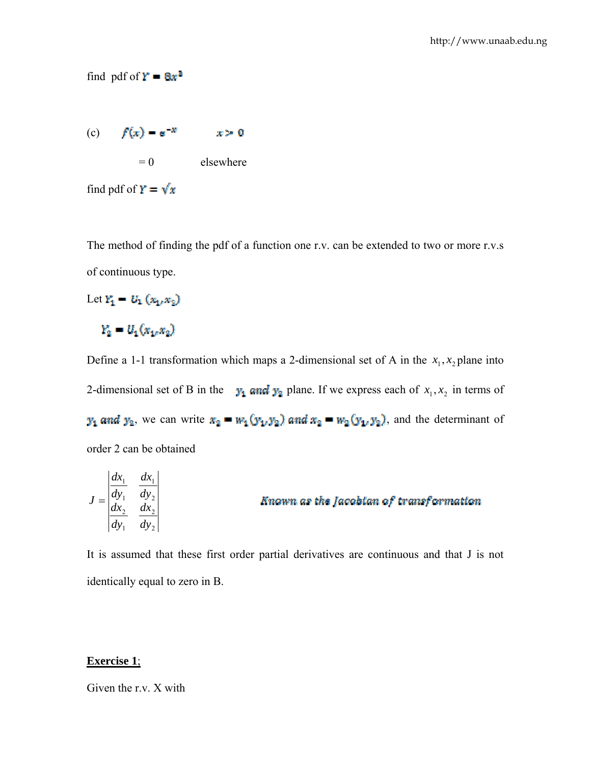(c)  $f(x) = e^{-x}$   $x > 0$  $= 0$  elsewhere find pdf of  $\mathbf{Y} = \sqrt{\mathbf{x}}$ 

The method of finding the pdf of a function one r.v. can be extended to two or more r.v.s of continuous type.

Let  $Y_1 = U_1(x_1, x_2)$  $Y_2 = U_1(x_1, x_2)$ 

find pdf of  $Y = 8x^3$ 

Define a 1-1 transformation which maps a 2-dimensional set of A in the  $x_1, x_2$  plane into 2-dimensional set of B in the  $y_1$  and  $y_2$  plane. If we express each of  $x_1, x_2$  in terms of  $y_1$  and  $y_2$ , we can write  $x_2 = w_1(y_1, y_2)$  and  $x_2 = w_2(y_1, y_2)$ , and the determinant of order 2 can be obtained

$$
J = \begin{vmatrix} \frac{dx_1}{dy_1} & \frac{dx_1}{dy_2} \\ \frac{dx_2}{dy_1} & \frac{dx_2}{dy_2} \end{vmatrix}
$$
 *Amount as the Jacobian of transformation*

It is assumed that these first order partial derivatives are continuous and that J is not identically equal to zero in B.

#### **Exercise 1**;

Given the r.v. X with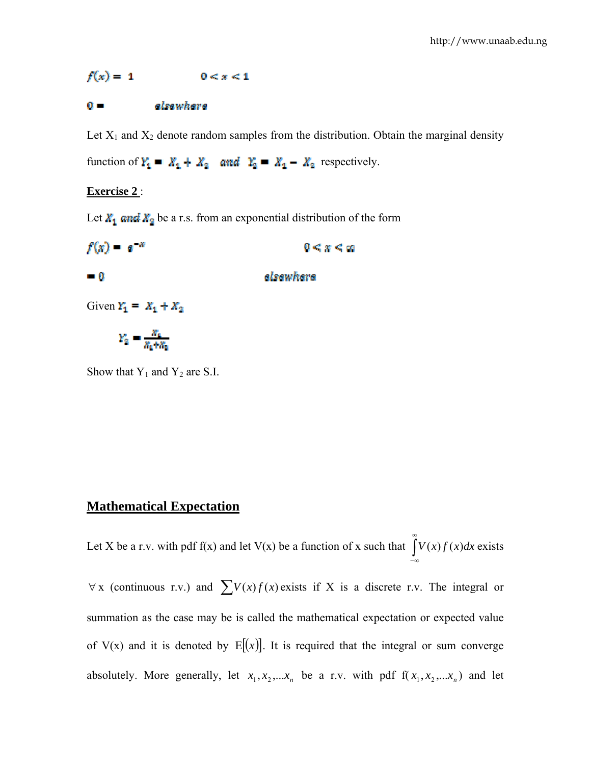$f(x) = 1$  $0 \leq x \leq 1$ 

#### $\mathbf{0}$  . elsewhere

Let  $X_1$  and  $X_2$  denote random samples from the distribution. Obtain the marginal density

function of  $Y_1 = X_1 + X_2$  and  $Y_2 = X_1 - X_2$  respectively.

#### **Exercise 2** :

Let  $X_1$  and  $X_2$  be a r.s. from an exponential distribution of the form

 $f(x) = e^{-x}$  $0 \leq x \leq \infty$  $\blacksquare$  0 elsewhere Given  $Y_1 = X_1 + X_2$  $Y_2 = \frac{x_4}{x_4 + x_6}$ 

Show that  $Y_1$  and  $Y_2$  are S.I.

### **Mathematical Expectation**

Let X be a r.v. with pdf f(x) and let V(x) be a function of x such that  $\int$ ∞ −∞  $V(x)f(x)dx$  exists

 $\forall x$  (continuous r.v.) and  $\sum V(x)f(x)$  exists if X is a discrete r.v. The integral or summation as the case may be is called the mathematical expectation or expected value of V(x) and it is denoted by  $E[(x)]$ . It is required that the integral or sum converge absolutely. More generally, let  $x_1, x_2, \ldots, x_n$  be a r.v. with pdf  $f(x_1, x_2, \ldots, x_n)$  and let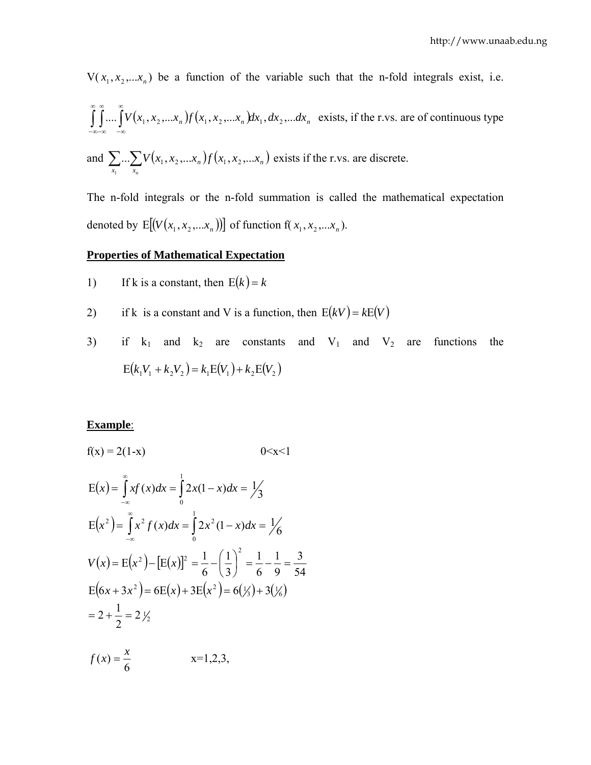$V(x_1, x_2,...x_n)$  be a function of the variable such that the n-fold integrals exist, i.e.

$$
\int_{-\infty}^{\infty} \int_{-\infty}^{\infty} V(x_1, x_2,...x_n) f(x_1, x_2,...x_n) dx_1, dx_2,...dx_n
$$
 exists, if the r.vs. are of continuous type

and  $\sum ... \sum V(x_1, x_2, ... x_n) f(x_1, x_2, ... x_n)$ 1  $\ldots \sum V(x_1, x_2, \ldots x_n) f(x_1, x_2, \ldots$  $x_1$   $x$  $n \mathcal{Y} \left( \lambda_1, \lambda_2, \ldots, \lambda_n \right)$ *n*  $V(x_1, x_2, \ldots, x_n) f(x_1, x_2, \ldots, x_n)$  exists if the r.vs. are discrete.

The n-fold integrals or the n-fold summation is called the mathematical expectation denoted by  $E [ (V ( x_1 , x_2 , ... x_n ) ) ]$  of function  $f ( x_1 , x_2 , ... x_n )$ .

#### **Properties of Mathematical Expectation**

- 1) If k is a constant, then  $E(k) = k$
- 2) if k is a constant and V is a function, then  $E(kV) = kE(V)$
- 3) if  $k_1$  and  $k_2$  are constants and  $V_1$  and  $V_2$  are functions the  $E(k_1 V_1 + k_2 V_2) = k_1 E(V_1) + k_2 E(V_2)$

#### **Example**:

$$
f(x) = 2(1-x) \t 0 < x < 1
$$
  
\n
$$
E(x) = \int_{-\infty}^{\infty} xf(x) dx = \int_{0}^{1} 2x(1-x) dx = \frac{1}{3}
$$
  
\n
$$
E(x^{2}) = \int_{-\infty}^{\infty} x^{2} f(x) dx = \int_{0}^{1} 2x^{2} (1-x) dx = \frac{1}{6}
$$
  
\n
$$
V(x) = E(x^{2}) - [E(x)]^{2} = \frac{1}{6} - \left(\frac{1}{3}\right)^{2} = \frac{1}{6} - \frac{1}{9} = \frac{3}{54}
$$
  
\n
$$
E(6x + 3x^{2}) = 6E(x) + 3E(x^{2}) = 6(\frac{1}{3}) + 3(\frac{1}{6})
$$
  
\n
$$
= 2 + \frac{1}{2} = 2\frac{1}{2}
$$
  
\n
$$
f(x) = \frac{x}{6} \t x = 1,2,3,
$$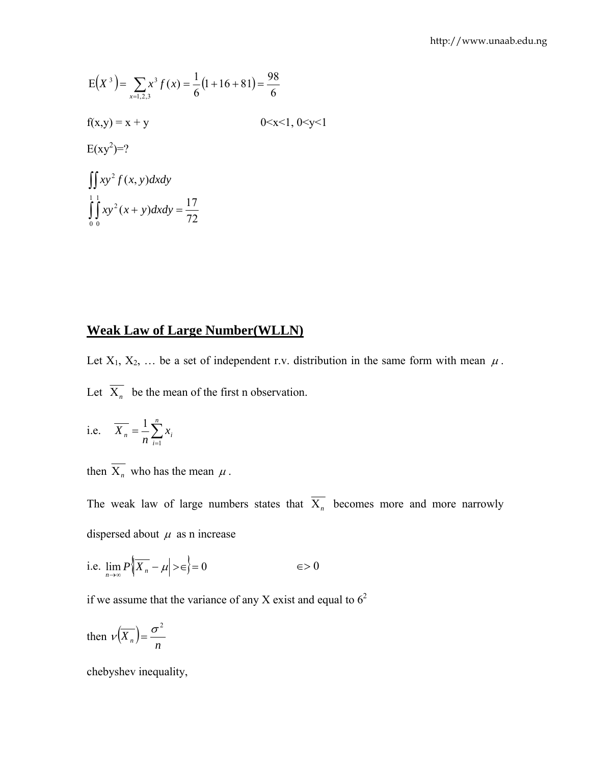$$
E(X3) = \sum_{x=1,2,3} x3 f(x) = \frac{1}{6} (1 + 16 + 81) = \frac{98}{6}
$$
  
f(x,y) = x + y \t\t\t0 < x < 1, 0 < y < 1  
  
E(xy<sup>2</sup>) =?  

$$
\iint_{0}^{1} xy2 f(x, y) dx dy
$$
  

$$
\int_{0}^{1} \int_{0}^{1} xy2 (x + y) dx dy = \frac{17}{72}
$$

# **Weak Law of Large Number(WLLN)**

Let  $X_1, X_2, \ldots$  be a set of independent r.v. distribution in the same form with mean  $\mu$ . Let  $\overline{X}_n$  be the mean of the first n observation.

i.e. 
$$
\overline{X_n} = \frac{1}{n} \sum_{i=1}^n x_i
$$

then  $\overline{X_n}$  who has the mean  $\mu$ .

The weak law of large numbers states that  $\overline{X_n}$  becomes more and more narrowly dispersed about  $\mu$  as n increase

i.e. 
$$
\lim_{n \to \infty} P\left| \overline{X_n} - \mu \right| > \in \left. \right\} = 0 \qquad \in > 0
$$

if we assume that the variance of any X exist and equal to  $6<sup>2</sup>$ 

then 
$$
\nu(\overline{X_n}) = \frac{\sigma^2}{n}
$$

chebyshev inequality,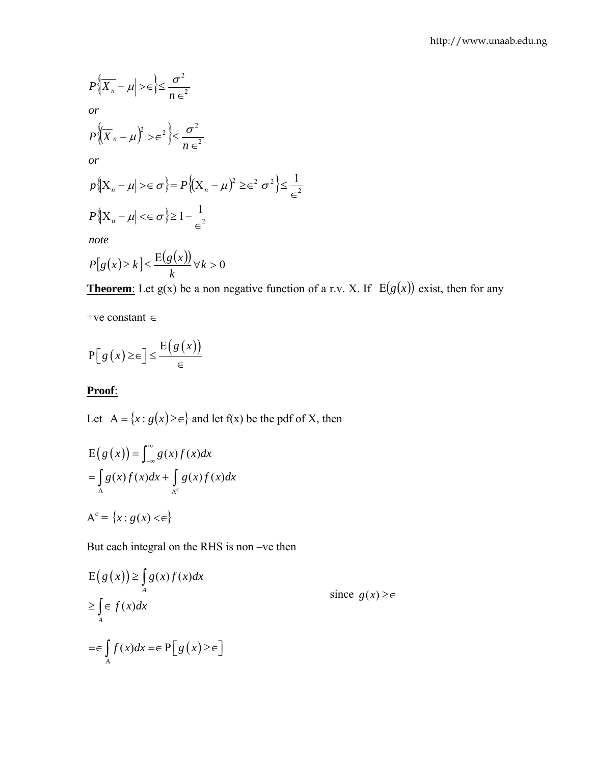$$
P\{\overline{X_n} - \mu\} > \epsilon \} \le \frac{\sigma^2}{n \epsilon^2}
$$
  
or  

$$
P\{\overline{X_n} - \mu\}^2 > \epsilon^2 \} \le \frac{\sigma^2}{n \epsilon^2}
$$
  
or  

$$
P\{\overline{X_n} - \mu\} > \epsilon \sigma\} = P\{\overline{X_n} - \mu\}^2 \ge \epsilon^2 \sigma^2 \} \le \frac{1}{\epsilon^2}
$$
  

$$
P\{\overline{X_n} - \mu\} < \epsilon \sigma\} \ge 1 - \frac{1}{\epsilon^2}
$$
  
note  

$$
P[g(x) \ge k] \le \frac{E(g(x))}{k} \forall k > 0
$$

**Theorem**: Let g(x) be a non negative function of a r.v. X. If  $E(g(x))$  exist, then for any

+ve constant ∈

$$
\mathbf{P}\big[\,g\,\big(\,x\big)\,\geq\,\infty\,\big]\,\leq\,\frac{\mathbf{E}\big(\,g\,\big(\,x\big)\big)}{\in}
$$

# **Proof**:

Let  $A = {x : g(x) \ge \in}$  and let  $f(x)$  be the pdf of X, then

$$
E(g(x)) = \int_{-\infty}^{\infty} g(x)f(x)dx
$$
  
= 
$$
\int_{A} g(x)f(x)dx + \int_{A^c} g(x)f(x)dx
$$

$$
A^c = \{x : g(x) < \in\}
$$

But each integral on the RHS is non –ve then

$$
E(g(x)) \ge \int_{A} g(x)f(x)dx
$$
  
\n
$$
\ge \int_{A} \in f(x)dx
$$
  
\n
$$
= \in \int_{A} f(x)dx = \in P[g(x) \ge \infty]
$$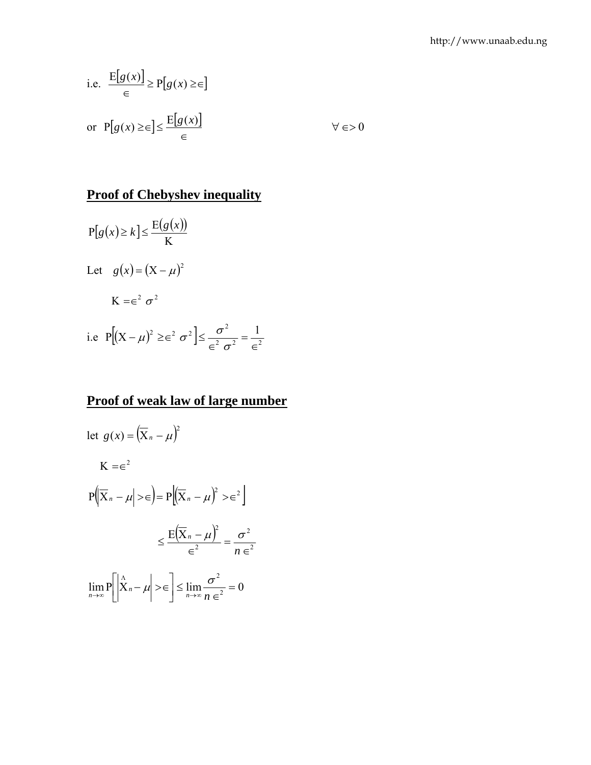i.e. 
$$
\frac{E[g(x)]}{\epsilon} \ge P[g(x) \ge \epsilon]
$$
  
or 
$$
P[g(x) \ge \epsilon] \le \frac{E[g(x)]}{\epsilon}
$$
  $\forall \epsilon > 0$ 

# **Proof of Chebyshev inequality**

$$
P[g(x) \ge k] \le \frac{E(g(x))}{K}
$$
  
Let  $g(x) = (X - \mu)^2$   

$$
K = \epsilon^2 \sigma^2
$$
  
i.e  $P[(X - \mu)^2 \ge \epsilon^2 \sigma^2] \le \frac{\sigma^2}{\epsilon^2 \sigma^2} = \frac{1}{\epsilon^2}$ 

# **Proof of weak law of large number**

$$
\begin{aligned} \text{let } g(x) &= \left(\overline{X}_n - \mu\right)^2 \\ \text{K} &= \in^2 \\ \text{P}\Big(\overline{X}_n - \mu\Big| > \in\Big) &= \text{P}\Big(\overline{X}_n - \mu\Big)^2 > \in^2 \Big] \\ &\leq \frac{\text{E}\Big(\overline{X}_n - \mu\Big)^2}{\in^2} = \frac{\sigma^2}{n\in^2} \\ \lim_{n \to \infty} \text{P}\Big[\Big|\overset{\wedge}{X}_n - \mu\Big| > \in\Big] &\leq \lim_{n \to \infty} \frac{\sigma^2}{n\in^2} = 0 \end{aligned}
$$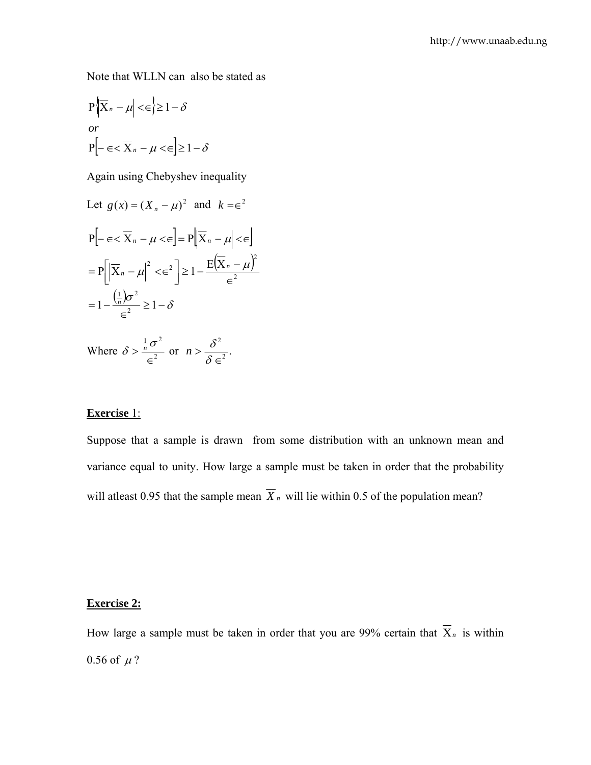Note that WLLN can also be stated as

$$
P\{\overline{X}_n - \mu \mid \leq \in\} \geq 1 - \delta
$$
  
or  

$$
P\left[-\in \leq \overline{X}_n - \mu \leq \in\right] \geq 1 - \delta
$$

Again using Chebyshev inequality

Let 
$$
g(x) = (X_n - \mu)^2
$$
 and  $k = \epsilon^2$   
\n
$$
P[-\epsilon < \overline{X}_n - \mu < \epsilon] = P[\overline{X}_n - \mu] < \epsilon]
$$
\n
$$
= P[|\overline{X}_n - \mu|^2 < \epsilon^2] \ge 1 - \frac{E(\overline{X}_n - \mu)^2}{\epsilon^2}
$$
\n
$$
= 1 - \frac{(\frac{1}{n})\sigma^2}{\epsilon^2} \ge 1 - \delta
$$

Where  $\delta > \frac{n^{\circ}}{2}$  $\frac{1}{2}$  $\sigma^2$ ∈  $\delta > \frac{\frac{1}{n}\sigma^2}{c^2}$  or  $n > \frac{\delta^2}{s c^2}$ . ∈  $>\frac{c}{\delta}$  $n > \frac{\delta^2}{\delta^2}$ .

#### **Exercise** 1:

Suppose that a sample is drawn from some distribution with an unknown mean and variance equal to unity. How large a sample must be taken in order that the probability will at least 0.95 that the sample mean  $\overline{X}_n$  will lie within 0.5 of the population mean?

### **Exercise 2:**

How large a sample must be taken in order that you are 99% certain that  $\overline{X}_n$  is within 0.56 of  $\mu$ ?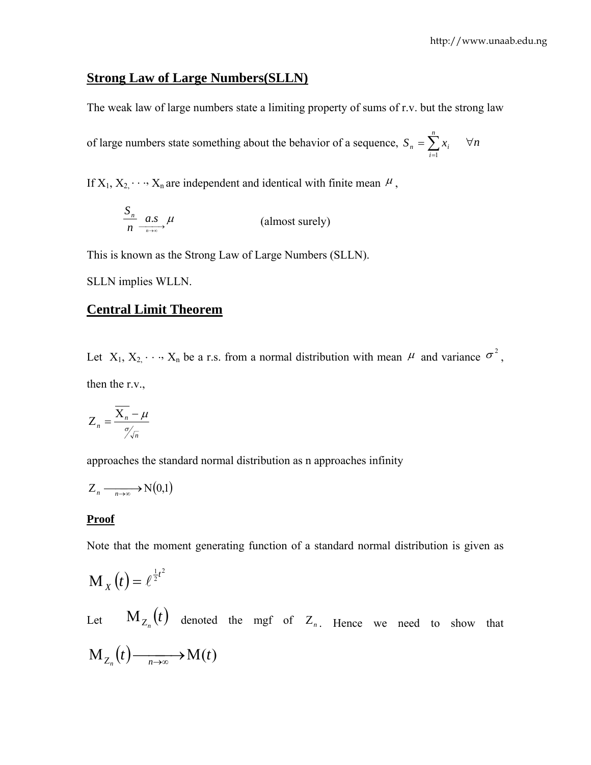# **Strong Law of Large Numbers(SLLN)**

The weak law of large numbers state a limiting property of sums of r.v. but the strong law

of large numbers state something about the behavior of a sequence,  $S_n = \sum_{i=1}^n$ *i*  $S_n = \sum x_i$ 1 ∀*n*

If  $X_1, X_2, \dots, X_n$  are independent and identical with finite mean  $\mu$ ,

$$
\frac{S_n}{n} \xrightarrow[n \to \infty]{a.s} \mu
$$
 (almost surely)

This is known as the Strong Law of Large Numbers (SLLN).

SLLN implies WLLN.

#### **Central Limit Theorem**

Let  $X_1, X_2, \dots, X_n$  be a r.s. from a normal distribution with mean  $\mu$  and variance  $\sigma^2$ , then the r.v.,

$$
Z_n = \frac{\overline{X_n} - \mu}{\gamma \sqrt{n}}
$$

approaches the standard normal distribution as n approaches infinity

$$
Z_n \xrightarrow[n \to \infty]{} N(0,1)
$$

#### **Proof**

Note that the moment generating function of a standard normal distribution is given as

$$
\mathbf{M}_X\left(t\right) = \ell^{\frac{1}{2}t^2}
$$

Let  $M_{Z_n}(t)$  denoted the mgf of  $Z_n$ . Hence we need to show that  $M_{Z_n}(t)$   $\xrightarrow[n\to\infty]{} M(t)$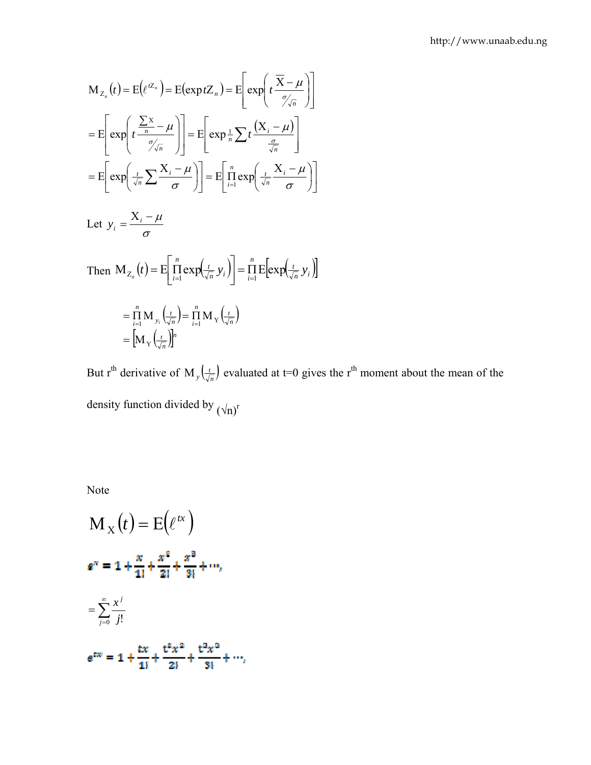$$
M_{Z_n}(t) = E(e^{tZ_n}) = E(\exp tZ_n) = E\left[\exp\left(t\frac{\overline{X} - \mu}{\sigma \sqrt{n}}\right)\right]
$$
  
\n
$$
= E\left[\exp\left(t\frac{\sum x}{n} - \mu\right)\right] = E\left[\exp\frac{1}{n}\sum t\frac{(X_i - \mu)}{\frac{\sigma}{\sqrt{n}}}\right]
$$
  
\n
$$
= E\left[\exp\left(\frac{t}{\sqrt{n}}\sum \frac{X_i - \mu}{\sigma}\right)\right] = E\left[\lim_{i=1}^{n} \exp\left(\frac{t}{\sqrt{n}}\frac{X_i - \mu}{\sigma}\right)\right]
$$
  
\nLet  $y_i = \frac{X_i - \mu}{\sigma}$ 

Then 
$$
M_{Z_n}(t) = E\left[\prod_{i=1}^n exp(\frac{t}{\sqrt{n}} y_i)\right] = \prod_{i=1}^n E\left[ exp(\frac{t}{\sqrt{n}} y_i)\right]
$$
  

$$
= \prod_{i=1}^n M_{y_i} \left(\frac{t}{\sqrt{n}}\right) = \prod_{i=1}^n M_{y_i} \left(\frac{t}{\sqrt{n}}\right)
$$

$$
= \left[M_y \left(\frac{t}{\sqrt{n}}\right)\right]^n
$$

But r<sup>th</sup> derivative of M<sub>y</sub>  $\left(\frac{t}{\sqrt{n}}\right)$  evaluated at t=0 gives the r<sup>th</sup> moment about the mean of the density function divided by  $(\sqrt{n})^r$ 

Note

$$
M_{X}(t) = E(e^{tx})
$$
  
\n
$$
e^{x} = 1 + \frac{x}{1!} + \frac{x^{2}}{2!} + \frac{x^{3}}{3!} + \cdots,
$$
  
\n
$$
= \sum_{j=0}^{\infty} \frac{x^{j}}{j!}
$$
  
\n
$$
e^{tx} = 1 + \frac{tx}{1!} + \frac{t^{2}x^{2}}{2!} + \frac{t^{3}x^{3}}{3!} + \cdots,
$$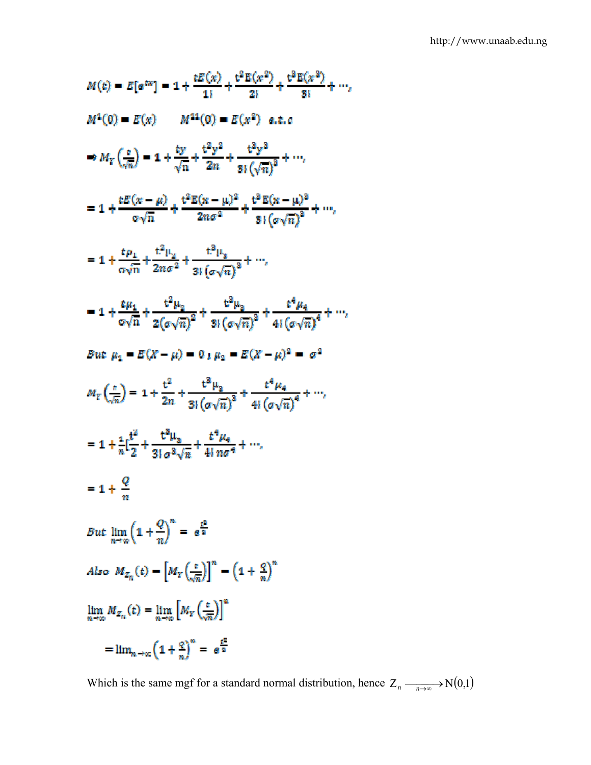$$
M(t) = E[e^{ixt}] = 1 + \frac{tE(x)}{1!} + \frac{t^2E(x^2)}{2!} + \frac{t^3E(x^3)}{3!} + \cdots,
$$
  
\n
$$
M^1(0) = E(x) \qquad M^{11}(0) = E(x^2) \quad a.t.c
$$
  
\n
$$
\Rightarrow M_Y\left(\frac{c}{\sqrt{n}}\right) = 1 + \frac{ty}{\sqrt{n}} + \frac{t^2y^2}{2n} + \frac{t^3y^3}{3!\left(\sqrt{n}\right)^3} + \cdots,
$$
  
\n
$$
= 1 + \frac{tE(x - \mu)}{\sigma\sqrt{n}} + \frac{t^2E(x - \mu)^2}{2n\sigma^2} + \frac{t^3E(x - \mu)^3}{3!\left(\sigma\sqrt{n}\right)^3} + \cdots,
$$
  
\n
$$
= 1 + \frac{t\mu_1}{\sigma\sqrt{n}} + \frac{t^2\mu_2}{2n\sigma^2} + \frac{t^3\mu_3}{3!\left(\sigma\sqrt{n}\right)^3} + \cdots,
$$
  
\n
$$
= 1 + \frac{t\mu_1}{\sigma\sqrt{n}} + \frac{t^2\mu_2}{2(\sigma\sqrt{n})^2} + \frac{t^3\mu_3}{3!\left(\sigma\sqrt{n}\right)^3} + \frac{t^4\mu_4}{4!\left(\sigma\sqrt{n}\right)^4} + \cdots,
$$
  
\n
$$
But \mu_1 = E(X - \mu) = 0 + \mu_2 = E(X - \mu)^2 = \sigma^2
$$
  
\n
$$
M_Y\left(\frac{t}{\sqrt{n}}\right) = 1 + \frac{t^2}{2n} + \frac{t^3\mu_2}{3!\left(\sigma\sqrt{n}\right)^3} + \frac{t^4\mu_4}{4!\left(\sigma\sqrt{n}\right)^4} + \cdots,
$$
  
\n
$$
= 1 + \frac{t^2}{n!} + \frac{t^3\mu_3}{3!\sigma^3\sqrt{n}} + \frac{t^4\mu_4}{4!\sigma\sigma^4} + \cdots,
$$
  
\n
$$
= 1 + \frac{Q}{n}
$$
  
\nBut  $\lim_{n \to \infty} \left(1 + \frac{Q}{n}\right)^n = e^{\frac{t^2}{n}}$   
\n
$$
A\nu_2 = \frac{
$$

Which is the same mgf for a standard normal distribution, hence  $Z_n \longrightarrow N(0,1)$